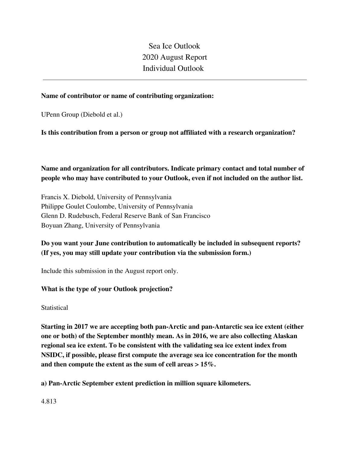Sea Ice Outlook 2020 August Report Individual Outlook

## **Name of contributor or name of contributing organization:**

UPenn Group (Diebold et al.)

## **Is this contribution from a person or group not affiliated with a research organization?**

**Name and organization for all contributors. Indicate primary contact and total number of people who may have contributed to your Outlook, even if not included on the author list.**

Francis X. Diebold, University of Pennsylvania Philippe Goulet Coulombe, University of Pennsylvania Glenn D. Rudebusch, Federal Reserve Bank of San Francisco Boyuan Zhang, University of Pennsylvania

# **Do you want your June contribution to automatically be included in subsequent reports? (If yes, you may still update your contribution via the submission form.)**

Include this submission in the August report only.

## **What is the type of your Outlook projection?**

**Statistical** 

**Starting in 2017 we are accepting both pan-Arctic and pan-Antarctic sea ice extent (either one or both) of the September monthly mean. As in 2016, we are also collecting Alaskan regional sea ice extent. To be consistent with the validating sea ice extent index from NSIDC, if possible, please first compute the average sea ice concentration for the month and then compute the extent as the sum of cell areas > 15%.**

**a) Pan-Arctic September extent prediction in million square kilometers.**

4.813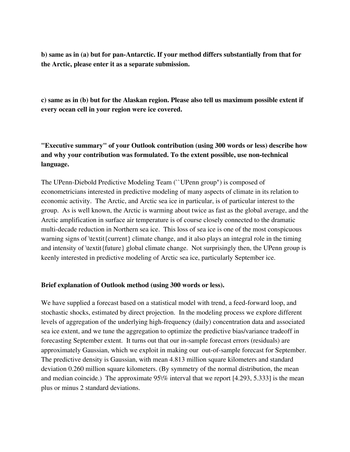**b) same as in (a) but for pan-Antarctic. If your method differs substantially from that for the Arctic, please enter it as a separate submission.**

**c) same as in (b) but for the Alaskan region. Please also tell us maximum possible extent if every ocean cell in your region were ice covered.**

**"Executive summary" of your Outlook contribution (using 300 words or less) describe how and why your contribution was formulated. To the extent possible, use non-technical language.**

The UPenn-Diebold Predictive Modeling Team (``UPenn group") is composed of econometricians interested in predictive modeling of many aspects of climate in its relation to economic activity. The Arctic, and Arctic sea ice in particular, is of particular interest to the group. As is well known, the Arctic is warming about twice as fast as the global average, and the Arctic amplification in surface air temperature is of course closely connected to the dramatic multi-decade reduction in Northern sea ice. This loss of sea ice is one of the most conspicuous warning signs of \textit{current} climate change, and it also plays an integral role in the timing and intensity of \textit{future} global climate change. Not surprisingly then, the UPenn group is keenly interested in predictive modeling of Arctic sea ice, particularly September ice.

### **Brief explanation of Outlook method (using 300 words or less).**

We have supplied a forecast based on a statistical model with trend, a feed-forward loop, and stochastic shocks, estimated by direct projection. In the modeling process we explore different levels of aggregation of the underlying high-frequency (daily) concentration data and associated sea ice extent, and we tune the aggregation to optimize the predictive bias/variance tradeoff in forecasting September extent. It turns out that our in-sample forecast errors (residuals) are approximately Gaussian, which we exploit in making our out-of-sample forecast for September. The predictive density is Gaussian, with mean 4.813 million square kilometers and standard deviation 0.260 million square kilometers. (By symmetry of the normal distribution, the mean and median coincide.) The approximate  $95\%$  interval that we report [4.293, 5.333] is the mean plus or minus 2 standard deviations.